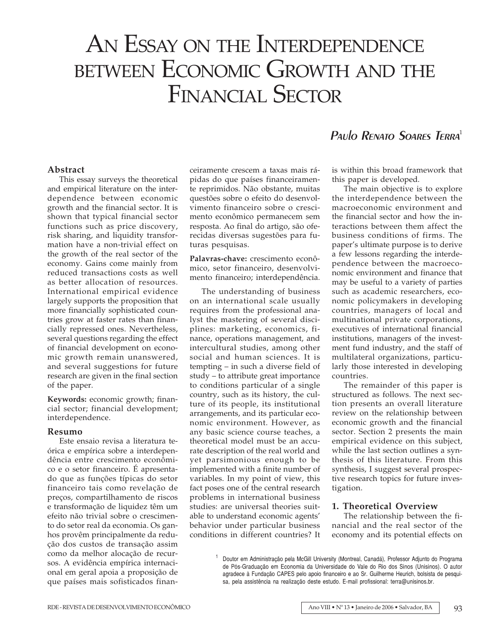# AN ESSAY ON THE INTERDEPENDENCE BETWEEN ECONOMIC GROWTH AND THE FINANCIAL SECTOR

## **Abstract**

This essay surveys the theoretical and empirical literature on the interdependence between economic growth and the financial sector. It is shown that typical financial sector functions such as price discovery, risk sharing, and liquidity transformation have a non-trivial effect on the growth of the real sector of the economy. Gains come mainly from reduced transactions costs as well as better allocation of resources. International empirical evidence largely supports the proposition that more financially sophisticated countries grow at faster rates than financially repressed ones. Nevertheless, several questions regarding the effect of financial development on economic growth remain unanswered, and several suggestions for future research are given in the final section of the paper.

**Keywords:** economic growth; financial sector; financial development; interdependence.

## **Resumo**

Este ensaio revisa a literatura teórica e empírica sobre a interdependência entre crescimento econômico e o setor financeiro. É apresentado que as funções típicas do setor financeiro tais como revelação de preços, compartilhamento de riscos e transformação de liquidez têm um efeito não trivial sobre o crescimento do setor real da economia. Os ganhos provêm principalmente da redução dos custos de transação assim como da melhor alocação de recursos. A evidência empírica internacional em geral apoia a proposição de que países mais sofisticados financeiramente crescem a taxas mais rápidas do que países financeiramente reprimidos. Não obstante, muitas questões sobre o efeito do desenvolvimento financeiro sobre o crescimento econômico permanecem sem resposta. Ao final do artigo, são oferecidas diversas sugestões para futuras pesquisas.

**Palavras-chave:** crescimento econômico, setor financeiro, desenvolvimento financeiro; interdependência.

The understanding of business on an international scale usually requires from the professional analyst the mastering of several disciplines: marketing, economics, finance, operations management, and intercultural studies, among other social and human sciences. It is tempting – in such a diverse field of study – to attribute great importance to conditions particular of a single country, such as its history, the culture of its people, its institutional arrangements, and its particular economic environment. However, as any basic science course teaches, a theoretical model must be an accurate description of the real world and yet parsimonious enough to be implemented with a finite number of variables. In my point of view, this fact poses one of the central research problems in international business studies: are universal theories suitable to understand economic agents' behavior under particular business conditions in different countries? It

# Paulo RENATO SOARES TERRA<sup>1</sup>

is within this broad framework that this paper is developed.

The main objective is to explore the interdependence between the macroeconomic environment and the financial sector and how the interactions between them affect the business conditions of firms. The paper's ultimate purpose is to derive a few lessons regarding the interdependence between the macroeconomic environment and finance that may be useful to a variety of parties such as academic researchers, economic policymakers in developing countries, managers of local and multinational private corporations, executives of international financial institutions, managers of the investment fund industry, and the staff of multilateral organizations, particularly those interested in developing countries.

The remainder of this paper is structured as follows. The next section presents an overall literature review on the relationship between economic growth and the financial sector. Section 2 presents the main empirical evidence on this subject, while the last section outlines a synthesis of this literature. From this synthesis, I suggest several prospective research topics for future investigation.

#### **1. Theoretical Overview**

The relationship between the financial and the real sector of the economy and its potential effects on

<sup>&</sup>lt;sup>1</sup> Doutor em Administração pela McGill University (Montreal, Canadá), Professor Adjunto do Programa de Pós-Graduação em Economia da Universidade do Vale do Rio dos Sinos (Unisinos). O autor agradece à Fundação CAPES pelo apoio financeiro e ao Sr. Guilherme Heurich, bolsista de pesquisa, pela assistência na realização deste estudo. E-mail profissional: terra@unisinos.br.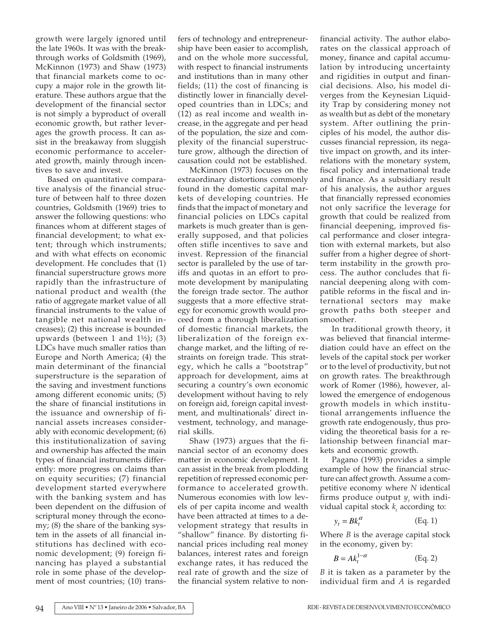growth were largely ignored until the late 1960s. It was with the breakthrough works of Goldsmith (1969), McKinnon (1973) and Shaw (1973) that financial markets come to occupy a major role in the growth literature. These authors argue that the development of the financial sector is not simply a byproduct of overall economic growth, but rather leverages the growth process. It can assist in the breakaway from sluggish economic performance to accelerated growth, mainly through incentives to save and invest.

Based on quantitative comparative analysis of the financial structure of between half to three dozen countries, Goldsmith (1969) tries to answer the following questions: who finances whom at different stages of financial development; to what extent; through which instruments; and with what effects on economic development. He concludes that (1) financial superstructure grows more rapidly than the infrastructure of national product and wealth (the ratio of aggregate market value of all financial instruments to the value of tangible net national wealth increases); (2) this increase is bounded upwards (between 1 and  $1\frac{1}{2}$ ); (3) LDCs have much smaller ratios than Europe and North America; (4) the main determinant of the financial superstructure is the separation of the saving and investment functions among different economic units; (5) the share of financial institutions in the issuance and ownership of financial assets increases considerably with economic development; (6) this institutionalization of saving and ownership has affected the main types of financial instruments differently: more progress on claims than on equity securities; (7) financial development started everywhere with the banking system and has been dependent on the diffusion of scriptural money through the economy; (8) the share of the banking system in the assets of all financial institutions has declined with economic development; (9) foreign financing has played a substantial role in some phase of the development of most countries; (10) transfers of technology and entrepreneurship have been easier to accomplish, and on the whole more successful, with respect to financial instruments and institutions than in many other fields; (11) the cost of financing is distinctly lower in financially developed countries than in LDCs; and (12) as real income and wealth increase, in the aggregate and per head of the population, the size and complexity of the financial superstructure grow, although the direction of causation could not be established.

McKinnon (1973) focuses on the extraordinary distortions commonly found in the domestic capital markets of developing countries. He finds that the impact of monetary and financial policies on LDCs capital markets is much greater than is generally supposed, and that policies often stifle incentives to save and invest. Repression of the financial sector is paralleled by the use of tariffs and quotas in an effort to promote development by manipulating the foreign trade sector. The author suggests that a more effective strategy for economic growth would proceed from a thorough liberalization of domestic financial markets, the liberalization of the foreign exchange market, and the lifting of restraints on foreign trade. This strategy, which he calls a "bootstrap" approach for development, aims at securing a country's own economic development without having to rely on foreign aid, foreign capital investment, and multinationals' direct investment, technology, and managerial skills.

Shaw (1973) argues that the financial sector of an economy does matter in economic development. It can assist in the break from plodding repetition of repressed economic performance to accelerated growth. Numerous economies with low levels of per capita income and wealth have been attracted at times to a development strategy that results in "shallow" finance. By distorting financial prices including real money balances, interest rates and foreign exchange rates, it has reduced the real rate of growth and the size of the financial system relative to non-

financial activity. The author elaborates on the classical approach of money, finance and capital accumulation by introducing uncertainty and rigidities in output and financial decisions. Also, his model diverges from the Keynesian Liquidity Trap by considering money not as wealth but as debt of the monetary system. After outlining the principles of his model, the author discusses financial repression, its negative impact on growth, and its interrelations with the monetary system, fiscal policy and international trade and finance. As a subsidiary result of his analysis, the author argues that financially repressed economies not only sacrifice the leverage for growth that could be realized from financial deepening, improved fiscal performance and closer integration with external markets, but also suffer from a higher degree of shortterm instability in the growth process. The author concludes that financial deepening along with compatible reforms in the fiscal and international sectors may make growth paths both steeper and smoother.

In traditional growth theory, it was believed that financial intermediation could have an effect on the levels of the capital stock per worker or to the level of productivity, but not on growth rates. The breakthrough work of Romer (1986), however, allowed the emergence of endogenous growth models in which institutional arrangements influence the growth rate endogenously, thus providing the theoretical basis for a relationship between financial markets and economic growth.

Pagano (1993) provides a simple example of how the financial structure can affect growth. Assume a competitive economy where *N* identical firms produce output  $y_t$  with individual capital stock  $k<sub>t</sub>$  according to:

$$
y_t = B k_t^{\alpha} \tag{Eq. 1}
$$

Where *B* is the average capital stock in the economy, given by:

$$
B = Ak_t^{1-\alpha} \qquad \qquad (\text{Eq. 2})
$$

*B* it is taken as a parameter by the individual firm and *A* is regarded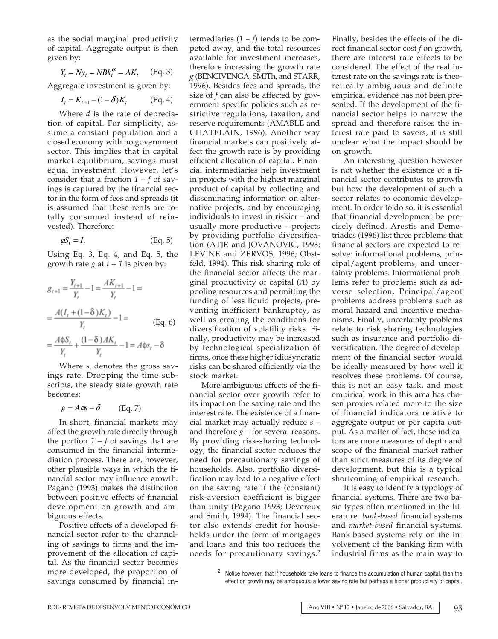as the social marginal productivity of capital. Aggregate output is then given by:

$$
Y_t = N y_t = N B k_t^{\alpha} = A K_t \quad \text{(Eq. 3)}
$$

Aggregate investment is given by:

$$
I_t = K_{t+1} - (1 - \delta)K_t
$$
 (Eq. 4)

Where *d* is the rate of depreciation of capital. For simplicity, assume a constant population and a closed economy with no government sector. This implies that in capital market equilibrium, savings must equal investment. However, let's consider that a fraction  $1 - f$  of savings is captured by the financial sector in the form of fees and spreads (it is assumed that these rents are totally consumed instead of reinvested). Therefore:

$$
\phi S_t = I_t \tag{Eq. 5}
$$

Using Eq. 3, Eq. 4, and Eq. 5, the growth rate *g* at  $t + 1$  is given by:

$$
g_{t+1} = \frac{Y_{t+1}}{Y_t} - 1 = \frac{AK_{t+1}}{Y_t} - 1 =
$$
  
= 
$$
\frac{A(I_t + (1 - \delta)K_t)}{Y_t} - 1 =
$$
 (Eq. 6)  
= 
$$
\frac{A\phi S_t}{Y_t} + \frac{(1 - \delta)AK_t}{Y_t} - 1 = A\phi s_t - \delta
$$

Where  $s_t$  denotes the gross savings rate. Dropping the time subscripts, the steady state growth rate becomes:

$$
g = A\phi s - \delta \qquad \text{(Eq. 7)}
$$

In short, financial markets may affect the growth rate directly through the portion  $1 - f$  of savings that are consumed in the financial intermediation process. There are, however, other plausible ways in which the financial sector may influence growth. Pagano (1993) makes the distinction between positive effects of financial development on growth and ambiguous effects.

Positive effects of a developed financial sector refer to the channeling of savings to firms and the improvement of the allocation of capital. As the financial sector becomes more developed, the proportion of savings consumed by financial intermediaries  $(1 - f)$  tends to be competed away, and the total resources available for investment increases, therefore increasing the growth rate *g* (BENCIVENGA, SMITh, and STARR, 1996). Besides fees and spreads, the size of *f* can also be affected by government specific policies such as restrictive regulations, taxation, and reserve requirements (AMABLE and CHATELAIN, 1996). Another way financial markets can positively affect the growth rate is by providing efficient allocation of capital. Financial intermediaries help investment in projects with the highest marginal product of capital by collecting and disseminating information on alternative projects, and by encouraging individuals to invest in riskier – and usually more productive – projects by providing portfolio diversification (ATJE and JOVANOVIC, 1993; LEVINE and ZERVOS, 1996; Obstfeld, 1994). This risk sharing role of the financial sector affects the marginal productivity of capital (*A*) by pooling resources and permitting the funding of less liquid projects, preventing inefficient bankruptcy, as well as creating the conditions for diversification of volatility risks. Finally, productivity may be increased by technological specialization of firms, once these higher idiosyncratic risks can be shared efficiently via the stock market.

More ambiguous effects of the financial sector over growth refer to its impact on the saving rate and the interest rate. The existence of a financial market may actually reduce *s* – and therefore  $g$  – for several reasons. By providing risk-sharing technology, the financial sector reduces the need for precautionary savings of households. Also, portfolio diversification may lead to a negative effect on the saving rate if the (constant) risk-aversion coefficient is bigger than unity (Pagano 1993; Devereux and Smith, 1994). The financial sector also extends credit for households under the form of mortgages and loans and this too reduces the needs for precautionary savings.2

Finally, besides the effects of the direct financial sector cost *f* on growth, there are interest rate effects to be considered. The effect of the real interest rate on the savings rate is theoretically ambiguous and definite empirical evidence has not been presented. If the development of the financial sector helps to narrow the spread and therefore raises the interest rate paid to savers, it is still unclear what the impact should be on growth.

An interesting question however is not whether the existence of a financial sector contributes to growth but how the development of such a sector relates to economic development. In order to do so, it is essential that financial development be precisely defined. Arestis and Demetriades (1996) list three problems that financial sectors are expected to resolve: informational problems, principal/agent problems, and uncertainty problems. Informational problems refer to problems such as adverse selection. Principal/agent problems address problems such as moral hazard and incentive mechanisms. Finally, uncertainty problems relate to risk sharing technologies such as insurance and portfolio diversification. The degree of development of the financial sector would be ideally measured by how well it resolves these problems. Of course, this is not an easy task, and most empirical work in this area has chosen proxies related more to the size of financial indicators relative to aggregate output or per capita output. As a matter of fact, these indicators are more measures of depth and scope of the financial market rather than strict measures of its degree of development, but this is a typical shortcoming of empirical research.

It is easy to identify a typology of financial systems. There are two basic types often mentioned in the literature: *bank-based* financial systems and *market-based* financial systems. Bank-based systems rely on the involvement of the banking firm with industrial firms as the main way to

<sup>&</sup>lt;sup>2</sup> Notice however, that if households take loans to finance the accumulation of human capital, then the effect on growth may be ambiguous: a lower saving rate but perhaps a higher productivity of capital.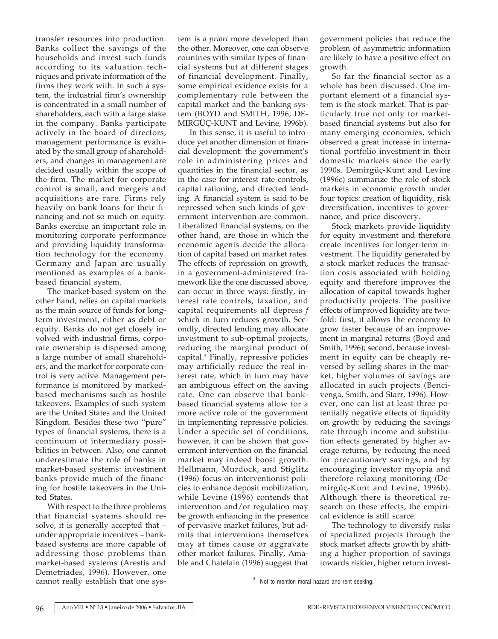transfer resources into production. Banks collect the savings of the households and invest such funds according to its valuation techniques and private information of the firms they work with. In such a system, the industrial firm's ownership is concentrated in a small number of shareholders, each with a large stake in the company. Banks participate actively in the board of directors, management performance is evaluated by the small group of shareholders, and changes in management are decided usually within the scope of the firm. The market for corporate control is small, and mergers and acquisitions are rare. Firms rely heavily on bank loans for their financing and not so much on equity. Banks exercise an important role in monitoring corporate performance and providing liquidity transformation technology for the economy. Germany and Japan are usually mentioned as examples of a bankbased financial system.

The market-based system on the other hand, relies on capital markets as the main source of funds for longterm investment, either as debt or equity. Banks do not get closely involved with industrial firms, corporate ownership is dispersed among a large number of small shareholders, and the market for corporate control is very active. Management performance is monitored by markedbased mechanisms such as hostile takeovers. Examples of such system are the United States and the United Kingdom. Besides these two "pure" types of financial systems, there is a continuum of intermediary possibilities in between. Also, one cannot underestimate the role of banks in market-based systems: investment banks provide much of the financing for hostile takeovers in the United States.

With respect to the three problems that financial systems should resolve, it is generally accepted that – under appropriate incentives – bankbased systems are more capable of addressing those problems than market-based systems (Arestis and Demetriades, 1996). However, one cannot really establish that one system is *a priori* more developed than the other. Moreover, one can observe countries with similar types of financial systems but at different stages of financial development. Finally, some empirical evidence exists for a complementary role between the capital market and the banking system (BOYD and SMITH, 1996; DE-MIRGÜÇ-KUNT and Levine, 1996b).

In this sense, it is useful to introduce yet another dimension of financial development: the government's role in administering prices and quantities in the financial sector, as in the case for interest rate controls, capital rationing, and directed lending. A financial system is said to be repressed when such kinds of government intervention are common. Liberalized financial systems, on the other hand, are those in which the economic agents decide the allocation of capital based on market rates. The effects of repression on growth, in a government-administered framework like the one discussed above, can occur in three ways: firstly, interest rate controls, taxation, and capital requirements all depress *f* which in turn reduces growth. Secondly, directed lending may allocate investment to sub-optimal projects, reducing the marginal product of capital.3 Finally, repressive policies may artificially reduce the real interest rate, which in turn may have an ambiguous effect on the saving rate. One can observe that bankbased financial systems allow for a more active role of the government in implementing repressive policies. Under a specific set of conditions, however, it can be shown that government intervention on the financial market may indeed boost growth. Hellmann, Murdock, and Stiglitz (1996) focus on interventionist policies to enhance deposit mobilization, while Levine (1996) contends that intervention and/or regulation may be growth enhancing in the presence of pervasive market failures, but admits that interventions themselves may at times cause or aggravate other market failures. Finally, Amable and Chatelain (1996) suggest that

government policies that reduce the problem of asymmetric information are likely to have a positive effect on growth.

So far the financial sector as a whole has been discussed. One important element of a financial system is the stock market. That is particularly true not only for marketbased financial systems but also for many emerging economies, which observed a great increase in international portfolio investment in their domestic markets since the early 1990s. Demirgüç-Kunt and Levine (1996c) summarize the role of stock markets in economic growth under four topics: creation of liquidity, risk diversification, incentives to governance, and price discovery.

Stock markets provide liquidity for equity investment and therefore create incentives for longer-term investment. The liquidity generated by a stock market reduces the transaction costs associated with holding equity and therefore improves the allocation of capital towards higher productivity projects. The positive effects of improved liquidity are twofold: first, it allows the economy to grow faster because of an improvement in marginal returns (Boyd and Smith, 1996); second, because investment in equity can be cheaply reversed by selling shares in the market, higher volumes of savings are allocated in such projects (Bencivenga, Smith, and Starr, 1996). However, one can list at least three potentially negative effects of liquidity on growth: by reducing the savings rate through income and substitution effects generated by higher average returns, by reducing the need for precautionary savings, and by encouraging investor myopia and therefore relaxing monitoring (Demirgüç-Kunt and Levine, 1996b). Although there is theoretical research on these effects, the empirical evidence is still scarce.

The technology to diversify risks of specialized projects through the stock market affects growth by shifting a higher proportion of savings towards riskier, higher return invest-

<sup>3</sup> Not to mention moral hazard and rent seeking.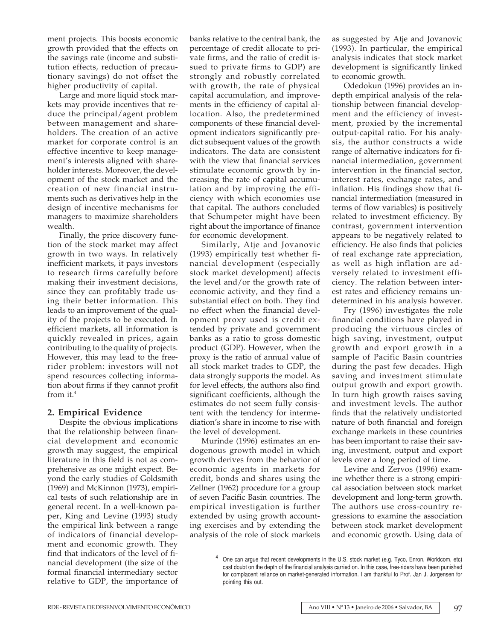ment projects. This boosts economic growth provided that the effects on the savings rate (income and substitution effects, reduction of precautionary savings) do not offset the higher productivity of capital.

Large and more liquid stock markets may provide incentives that reduce the principal/agent problem between management and shareholders. The creation of an active market for corporate control is an effective incentive to keep management's interests aligned with shareholder interests. Moreover, the development of the stock market and the creation of new financial instruments such as derivatives help in the design of incentive mechanisms for managers to maximize shareholders wealth.

Finally, the price discovery function of the stock market may affect growth in two ways. In relatively inefficient markets, it pays investors to research firms carefully before making their investment decisions, since they can profitably trade using their better information. This leads to an improvement of the quality of the projects to be executed. In efficient markets, all information is quickly revealed in prices, again contributing to the quality of projects. However, this may lead to the freerider problem: investors will not spend resources collecting information about firms if they cannot profit from it.4

# **2. Empirical Evidence**

Despite the obvious implications that the relationship between financial development and economic growth may suggest, the empirical literature in this field is not as comprehensive as one might expect. Beyond the early studies of Goldsmith (1969) and McKinnon (1973), empirical tests of such relationship are in general recent. In a well-known paper, King and Levine (1993) study the empirical link between a range of indicators of financial development and economic growth. They find that indicators of the level of financial development (the size of the formal financial intermediary sector relative to GDP, the importance of

banks relative to the central bank, the percentage of credit allocate to private firms, and the ratio of credit issued to private firms to GDP) are strongly and robustly correlated with growth, the rate of physical capital accumulation, and improvements in the efficiency of capital allocation. Also, the predetermined components of these financial development indicators significantly predict subsequent values of the growth indicators. The data are consistent with the view that financial services stimulate economic growth by increasing the rate of capital accumulation and by improving the efficiency with which economies use that capital. The authors concluded that Schumpeter might have been right about the importance of finance for economic development.

Similarly, Atje and Jovanovic (1993) empirically test whether financial development (especially stock market development) affects the level and/or the growth rate of economic activity, and they find a substantial effect on both. They find no effect when the financial development proxy used is credit extended by private and government banks as a ratio to gross domestic product (GDP). However, when the proxy is the ratio of annual value of all stock market trades to GDP, the data strongly supports the model. As for level effects, the authors also find significant coefficients, although the estimates do not seem fully consistent with the tendency for intermediation's share in income to rise with the level of development.

Murinde (1996) estimates an endogenous growth model in which growth derives from the behavior of economic agents in markets for credit, bonds and shares using the Zellner (1962) procedure for a group of seven Pacific Basin countries. The empirical investigation is further extended by using growth accounting exercises and by extending the analysis of the role of stock markets

as suggested by Atje and Jovanovic (1993). In particular, the empirical analysis indicates that stock market development is significantly linked to economic growth.

Odedokun (1996) provides an indepth empirical analysis of the relationship between financial development and the efficiency of investment, proxied by the incremental output-capital ratio. For his analysis, the author constructs a wide range of alternative indicators for financial intermediation, government intervention in the financial sector, interest rates, exchange rates, and inflation. His findings show that financial intermediation (measured in terms of flow variables) is positively related to investment efficiency. By contrast, government intervention appears to be negatively related to efficiency. He also finds that policies of real exchange rate appreciation, as well as high inflation are adversely related to investment efficiency. The relation between interest rates and efficiency remains undetermined in his analysis however.

Fry (1996) investigates the role financial conditions have played in producing the virtuous circles of high saving, investment, output growth and export growth in a sample of Pacific Basin countries during the past few decades. High saving and investment stimulate output growth and export growth. In turn high growth raises saving and investment levels. The author finds that the relatively undistorted nature of both financial and foreign exchange markets in these countries has been important to raise their saving, investment, output and export levels over a long period of time.

Levine and Zervos (1996) examine whether there is a strong empirical association between stock market development and long-term growth. The authors use cross-country regressions to examine the association between stock market development and economic growth. Using data of

<sup>&</sup>lt;sup>4</sup> One can argue that recent developments in the U.S. stock market (e.g. Tyco, Enron, Worldcom, etc) cast doubt on the depth of the financial analysis carried on. In this case, free-riders have been punished for complacent reliance on market-generated information. I am thankful to Prof. Jan J. Jorgensen for pointing this out.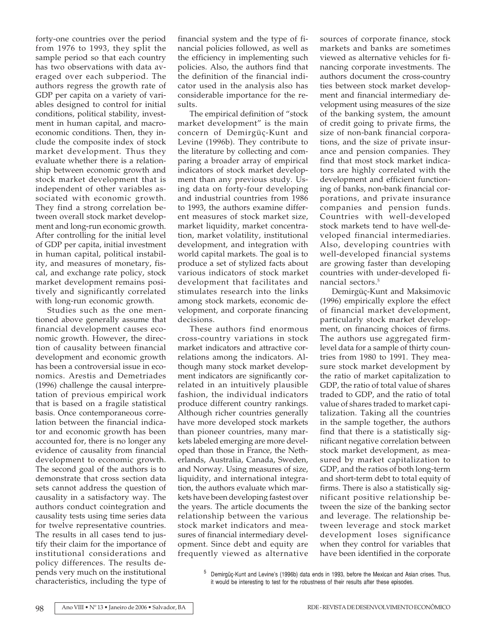forty-one countries over the period from 1976 to 1993, they split the sample period so that each country has two observations with data averaged over each subperiod. The authors regress the growth rate of GDP per capita on a variety of variables designed to control for initial conditions, political stability, investment in human capital, and macroeconomic conditions. Then, they include the composite index of stock market development. Thus they evaluate whether there is a relationship between economic growth and stock market development that is independent of other variables associated with economic growth. They find a strong correlation between overall stock market development and long-run economic growth. After controlling for the initial level of GDP per capita, initial investment in human capital, political instability, and measures of monetary, fiscal, and exchange rate policy, stock market development remains positively and significantly correlated with long-run economic growth.

Studies such as the one mentioned above generally assume that financial development causes economic growth. However, the direction of causality between financial development and economic growth has been a controversial issue in economics. Arestis and Demetriades (1996) challenge the causal interpretation of previous empirical work that is based on a fragile statistical basis. Once contemporaneous correlation between the financial indicator and economic growth has been accounted for, there is no longer any evidence of causality from financial development to economic growth. The second goal of the authors is to demonstrate that cross section data sets cannot address the question of causality in a satisfactory way. The authors conduct cointegration and causality tests using time series data for twelve representative countries. The results in all cases tend to justify their claim for the importance of institutional considerations and policy differences. The results depends very much on the institutional characteristics, including the type of financial system and the type of financial policies followed, as well as the efficiency in implementing such policies. Also, the authors find that the definition of the financial indicator used in the analysis also has considerable importance for the results.

The empirical definition of "stock market development" is the main concern of Demirgüç-Kunt and Levine (1996b). They contribute to the literature by collecting and comparing a broader array of empirical indicators of stock market development than any previous study. Using data on forty-four developing and industrial countries from 1986 to 1993, the authors examine different measures of stock market size, market liquidity, market concentration, market volatility, institutional development, and integration with world capital markets. The goal is to produce a set of stylized facts about various indicators of stock market development that facilitates and stimulates research into the links among stock markets, economic development, and corporate financing decisions.

These authors find enormous cross-country variations in stock market indicators and attractive correlations among the indicators. Although many stock market development indicators are significantly correlated in an intuitively plausible fashion, the individual indicators produce different country rankings. Although richer countries generally have more developed stock markets than pioneer countries, many markets labeled emerging are more developed than those in France, the Netherlands, Australia, Canada, Sweden, and Norway. Using measures of size, liquidity, and international integration, the authors evaluate which markets have been developing fastest over the years. The article documents the relationship between the various stock market indicators and measures of financial intermediary development. Since debt and equity are frequently viewed as alternative

sources of corporate finance, stock markets and banks are sometimes viewed as alternative vehicles for financing corporate investments. The authors document the cross-country ties between stock market development and financial intermediary development using measures of the size of the banking system, the amount of credit going to private firms, the size of non-bank financial corporations, and the size of private insurance and pension companies. They find that most stock market indicators are highly correlated with the development and efficient functioning of banks, non-bank financial corporations, and private insurance companies and pension funds. Countries with well-developed stock markets tend to have well-developed financial intermediaries. Also, developing countries with well-developed financial systems are growing faster than developing countries with under-developed financial sectors.5

Demirgüç-Kunt and Maksimovic (1996) empirically explore the effect of financial market development, particularly stock market development, on financing choices of firms. The authors use aggregated firmlevel data for a sample of thirty countries from 1980 to 1991. They measure stock market development by the ratio of market capitalization to GDP, the ratio of total value of shares traded to GDP, and the ratio of total value of shares traded to market capitalization. Taking all the countries in the sample together, the authors find that there is a statistically significant negative correlation between stock market development, as measured by market capitalization to GDP, and the ratios of both long-term and short-term debt to total equity of firms. There is also a statistically significant positive relationship between the size of the banking sector and leverage. The relationship between leverage and stock market development loses significance when they control for variables that have been identified in the corporate

<sup>5</sup> Demirgüç-Kunt and Levine's (1996b) data ends in 1993, before the Mexican and Asian crises. Thus, it would be interesting to test for the robustness of their results after these episodes.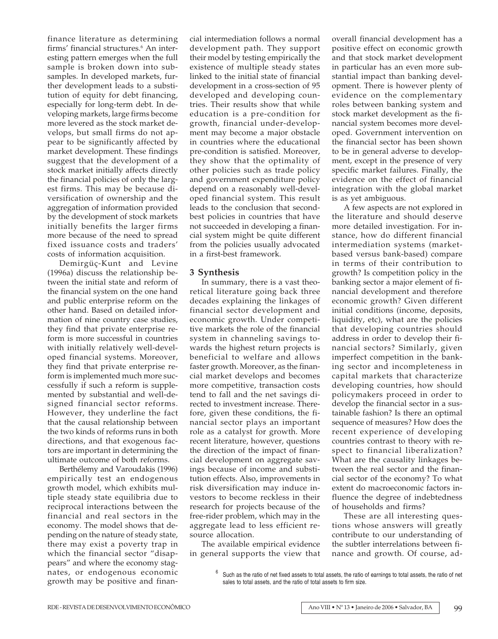finance literature as determining firms' financial structures.6 An interesting pattern emerges when the full sample is broken down into subsamples. In developed markets, further development leads to a substitution of equity for debt financing, especially for long-term debt. In developing markets, large firms become more levered as the stock market develops, but small firms do not appear to be significantly affected by market development. These findings suggest that the development of a stock market initially affects directly the financial policies of only the largest firms. This may be because diversification of ownership and the aggregation of information provided by the development of stock markets initially benefits the larger firms more because of the need to spread fixed issuance costs and traders' costs of information acquisition.

Demirgüç-Kunt and Levine (1996a) discuss the relationship between the initial state and reform of the financial system on the one hand and public enterprise reform on the other hand. Based on detailed information of nine country case studies, they find that private enterprise reform is more successful in countries with initially relatively well-developed financial systems. Moreover, they find that private enterprise reform is implemented much more successfully if such a reform is supplemented by substantial and well-designed financial sector reforms. However, they underline the fact that the causal relationship between the two kinds of reforms runs in both directions, and that exogenous factors are important in determining the ultimate outcome of both reforms.

Berthélemy and Varoudakis (1996) empirically test an endogenous growth model, which exhibits multiple steady state equilibria due to reciprocal interactions between the financial and real sectors in the economy. The model shows that depending on the nature of steady state, there may exist a poverty trap in which the financial sector "disappears" and where the economy stagnates, or endogenous economic growth may be positive and financial intermediation follows a normal development path. They support their model by testing empirically the existence of multiple steady states linked to the initial state of financial development in a cross-section of 95 developed and developing countries. Their results show that while education is a pre-condition for growth, financial under-development may become a major obstacle in countries where the educational pre-condition is satisfied. Moreover, they show that the optimality of other policies such as trade policy and government expenditure policy depend on a reasonably well-developed financial system. This result leads to the conclusion that secondbest policies in countries that have not succeeded in developing a financial system might be quite different from the policies usually advocated in a first-best framework.

## **3 Synthesis**

In summary, there is a vast theoretical literature going back three decades explaining the linkages of financial sector development and economic growth. Under competitive markets the role of the financial system in channeling savings towards the highest return projects is beneficial to welfare and allows faster growth. Moreover, as the financial market develops and becomes more competitive, transaction costs tend to fall and the net savings directed to investment increase. Therefore, given these conditions, the financial sector plays an important role as a catalyst for growth. More recent literature, however, questions the direction of the impact of financial development on aggregate savings because of income and substitution effects. Also, improvements in risk diversification may induce investors to become reckless in their research for projects because of the free-rider problem, which may in the aggregate lead to less efficient resource allocation.

The available empirical evidence in general supports the view that overall financial development has a positive effect on economic growth and that stock market development in particular has an even more substantial impact than banking development. There is however plenty of evidence on the complementary roles between banking system and stock market development as the financial system becomes more developed. Government intervention on the financial sector has been shown to be in general adverse to development, except in the presence of very specific market failures. Finally, the evidence on the effect of financial integration with the global market is as yet ambiguous.

A few aspects are not explored in the literature and should deserve more detailed investigation. For instance, how do different financial intermediation systems (marketbased versus bank-based) compare in terms of their contribution to growth? Is competition policy in the banking sector a major element of financial development and therefore economic growth? Given different initial conditions (income, deposits, liquidity, etc), what are the policies that developing countries should address in order to develop their financial sectors? Similarly, given imperfect competition in the banking sector and incompleteness in capital markets that characterize developing countries, how should policymakers proceed in order to develop the financial sector in a sustainable fashion? Is there an optimal sequence of measures? How does the recent experience of developing countries contrast to theory with respect to financial liberalization? What are the causality linkages between the real sector and the financial sector of the economy? To what extent do macroeconomic factors influence the degree of indebtedness of households and firms?

These are all interesting questions whose answers will greatly contribute to our understanding of the subtler interrelations between finance and growth. Of course, ad-

 $6$  Such as the ratio of net fixed assets to total assets, the ratio of earnings to total assets, the ratio of net sales to total assets, and the ratio of total assets to firm size.